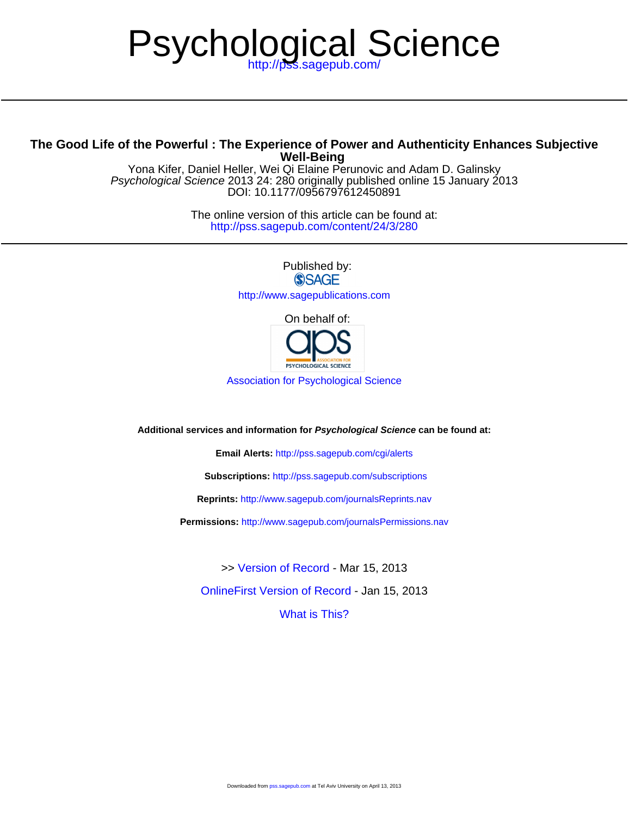# Psychological Science

## **Well-Being The Good Life of the Powerful : The Experience of Power and Authenticity Enhances Subjective**

DOI: 10.1177/0956797612450891 Psychological Science 2013 24: 280 originally published online 15 January 2013 Yona Kifer, Daniel Heller, Wei Qi Elaine Perunovic and Adam D. Galinsky

> <http://pss.sagepub.com/content/24/3/280> The online version of this article can be found at:

> > Published by:<br>
> > SAGE <http://www.sagepublications.com>

> > > On behalf of:



[Association for Psychological Science](http://www.psychologicalscience.org/)

**Additional services and information for Psychological Science can be found at:**

**Email Alerts:** <http://pss.sagepub.com/cgi/alerts>

**Subscriptions:** <http://pss.sagepub.com/subscriptions>

**Reprints:** <http://www.sagepub.com/journalsReprints.nav>

**Permissions:** <http://www.sagepub.com/journalsPermissions.nav>

>> [Version of Record -](http://pss.sagepub.com/content/24/3/280.full.pdf) Mar 15, 2013

[OnlineFirst Version of Record -](http://pss.sagepub.com/content/early/2013/01/15/0956797612450891.full.pdf) Jan 15, 2013

[What is This?](http://online.sagepub.com/site/sphelp/vorhelp.xhtml)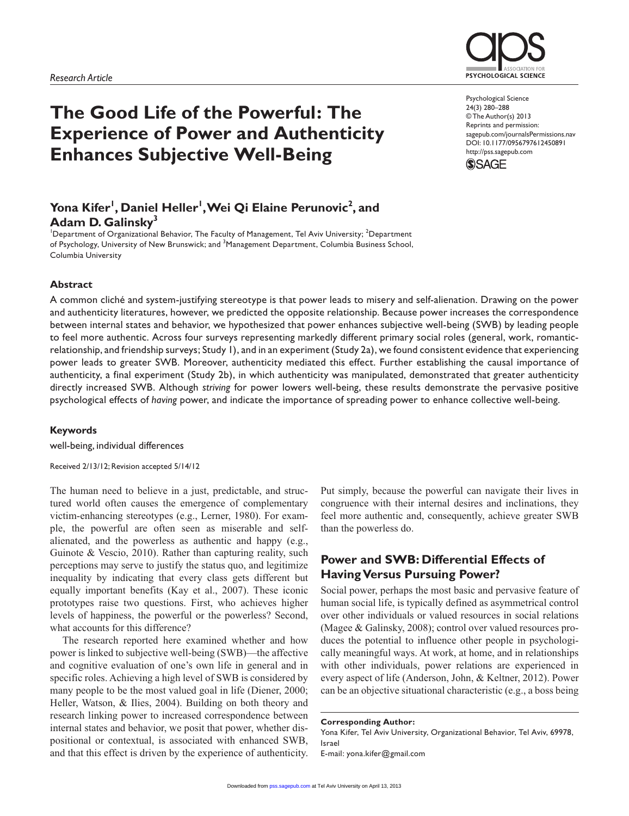

# **Y**ona Kifer<sup>!</sup>, Daniel Heller<sup>!</sup>,Wei Qi Elaine Perunovic<sup>2</sup>, and Adam D. Galinsky<sup>3</sup>

<sup>1</sup>Department of Organizational Behavior, The Faculty of Management, Tel Aviv University; <sup>2</sup>Department of Psychology, University of New Brunswick; and <sup>3</sup>Management Department, Columbia Business School, Columbia University

#### **Abstract**

A common cliché and system-justifying stereotype is that power leads to misery and self-alienation. Drawing on the power and authenticity literatures, however, we predicted the opposite relationship. Because power increases the correspondence between internal states and behavior, we hypothesized that power enhances subjective well-being (SWB) by leading people to feel more authentic. Across four surveys representing markedly different primary social roles (general, work, romanticrelationship, and friendship surveys; Study 1), and in an experiment (Study 2a), we found consistent evidence that experiencing power leads to greater SWB. Moreover, authenticity mediated this effect. Further establishing the causal importance of authenticity, a final experiment (Study 2b), in which authenticity was manipulated, demonstrated that greater authenticity directly increased SWB. Although *striving* for power lowers well-being, these results demonstrate the pervasive positive psychological effects of *having* power, and indicate the importance of spreading power to enhance collective well-being.

#### **Keywords**

well-being, individual differences

Received 2/13/12; Revision accepted 5/14/12

The human need to believe in a just, predictable, and structured world often causes the emergence of complementary victim-enhancing stereotypes (e.g., Lerner, 1980). For example, the powerful are often seen as miserable and selfalienated, and the powerless as authentic and happy (e.g., Guinote & Vescio, 2010). Rather than capturing reality, such perceptions may serve to justify the status quo, and legitimize inequality by indicating that every class gets different but equally important benefits (Kay et al., 2007). These iconic prototypes raise two questions. First, who achieves higher levels of happiness, the powerful or the powerless? Second, what accounts for this difference?

The research reported here examined whether and how power is linked to subjective well-being (SWB)—the affective and cognitive evaluation of one's own life in general and in specific roles. Achieving a high level of SWB is considered by many people to be the most valued goal in life (Diener, 2000; Heller, Watson, & Ilies, 2004). Building on both theory and research linking power to increased correspondence between internal states and behavior, we posit that power, whether dispositional or contextual, is associated with enhanced SWB, and that this effect is driven by the experience of authenticity.

Put simply, because the powerful can navigate their lives in congruence with their internal desires and inclinations, they feel more authentic and, consequently, achieve greater SWB than the powerless do.

# **Power and SWB: Differential Effects of Having Versus Pursuing Power?**

Social power, perhaps the most basic and pervasive feature of human social life, is typically defined as asymmetrical control over other individuals or valued resources in social relations (Magee & Galinsky, 2008); control over valued resources produces the potential to influence other people in psychologically meaningful ways. At work, at home, and in relationships with other individuals, power relations are experienced in every aspect of life (Anderson, John, & Keltner, 2012). Power can be an objective situational characteristic (e.g., a boss being

Yona Kifer, Tel Aviv University, Organizational Behavior, Tel Aviv, 69978, Israel

E-mail: yona.kifer@gmail.com





Psychological Science

**Corresponding Author:**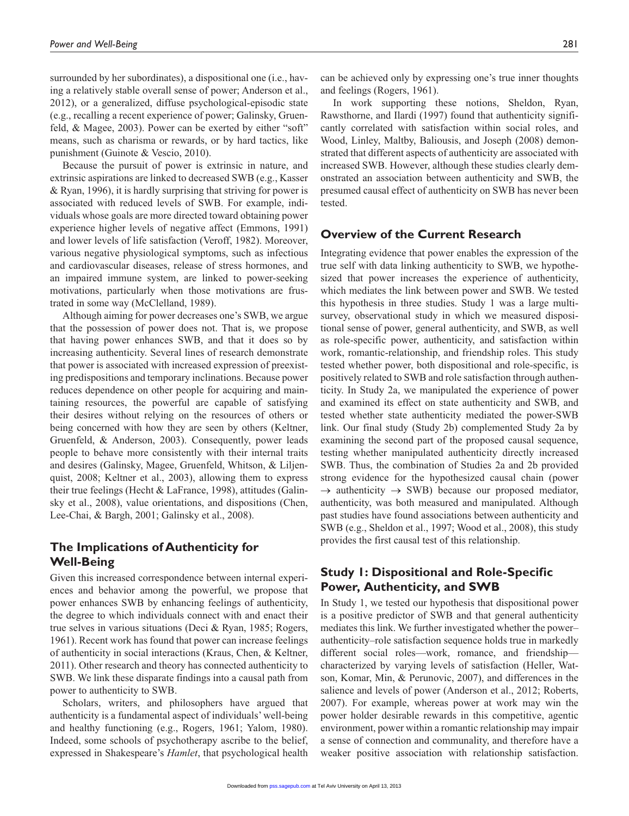surrounded by her subordinates), a dispositional one (i.e., having a relatively stable overall sense of power; Anderson et al., 2012), or a generalized, diffuse psychological-episodic state (e.g., recalling a recent experience of power; Galinsky, Gruenfeld, & Magee, 2003). Power can be exerted by either "soft" means, such as charisma or rewards, or by hard tactics, like punishment (Guinote & Vescio, 2010).

Because the pursuit of power is extrinsic in nature, and extrinsic aspirations are linked to decreased SWB (e.g., Kasser & Ryan, 1996), it is hardly surprising that striving for power is associated with reduced levels of SWB. For example, individuals whose goals are more directed toward obtaining power experience higher levels of negative affect (Emmons, 1991) and lower levels of life satisfaction (Veroff, 1982). Moreover, various negative physiological symptoms, such as infectious and cardiovascular diseases, release of stress hormones, and an impaired immune system, are linked to power-seeking motivations, particularly when those motivations are frustrated in some way (McClelland, 1989).

Although aiming for power decreases one's SWB, we argue that the possession of power does not. That is, we propose that having power enhances SWB, and that it does so by increasing authenticity. Several lines of research demonstrate that power is associated with increased expression of preexisting predispositions and temporary inclinations. Because power reduces dependence on other people for acquiring and maintaining resources, the powerful are capable of satisfying their desires without relying on the resources of others or being concerned with how they are seen by others (Keltner, Gruenfeld, & Anderson, 2003). Consequently, power leads people to behave more consistently with their internal traits and desires (Galinsky, Magee, Gruenfeld, Whitson, & Liljenquist, 2008; Keltner et al., 2003), allowing them to express their true feelings (Hecht & LaFrance, 1998), attitudes (Galinsky et al., 2008), value orientations, and dispositions (Chen, Lee-Chai, & Bargh, 2001; Galinsky et al., 2008).

# **The Implications of Authenticity for Well-Being**

Given this increased correspondence between internal experiences and behavior among the powerful, we propose that power enhances SWB by enhancing feelings of authenticity, the degree to which individuals connect with and enact their true selves in various situations (Deci & Ryan, 1985; Rogers, 1961). Recent work has found that power can increase feelings of authenticity in social interactions (Kraus, Chen, & Keltner, 2011). Other research and theory has connected authenticity to SWB. We link these disparate findings into a causal path from power to authenticity to SWB.

Scholars, writers, and philosophers have argued that authenticity is a fundamental aspect of individuals' well-being and healthy functioning (e.g., Rogers, 1961; Yalom, 1980). Indeed, some schools of psychotherapy ascribe to the belief, expressed in Shakespeare's *Hamlet*, that psychological health

can be achieved only by expressing one's true inner thoughts and feelings (Rogers, 1961).

In work supporting these notions, Sheldon, Ryan, Rawsthorne, and Ilardi (1997) found that authenticity significantly correlated with satisfaction within social roles, and Wood, Linley, Maltby, Baliousis, and Joseph (2008) demonstrated that different aspects of authenticity are associated with increased SWB. However, although these studies clearly demonstrated an association between authenticity and SWB, the presumed causal effect of authenticity on SWB has never been tested.

## **Overview of the Current Research**

Integrating evidence that power enables the expression of the true self with data linking authenticity to SWB, we hypothesized that power increases the experience of authenticity, which mediates the link between power and SWB. We tested this hypothesis in three studies. Study 1 was a large multisurvey, observational study in which we measured dispositional sense of power, general authenticity, and SWB, as well as role-specific power, authenticity, and satisfaction within work, romantic-relationship, and friendship roles. This study tested whether power, both dispositional and role-specific, is positively related to SWB and role satisfaction through authenticity. In Study 2a, we manipulated the experience of power and examined its effect on state authenticity and SWB, and tested whether state authenticity mediated the power-SWB link. Our final study (Study 2b) complemented Study 2a by examining the second part of the proposed causal sequence, testing whether manipulated authenticity directly increased SWB. Thus, the combination of Studies 2a and 2b provided strong evidence for the hypothesized causal chain (power  $\rightarrow$  authenticity  $\rightarrow$  SWB) because our proposed mediator, authenticity, was both measured and manipulated. Although past studies have found associations between authenticity and SWB (e.g., Sheldon et al., 1997; Wood et al., 2008), this study provides the first causal test of this relationship.

## **Study 1: Dispositional and Role-Specific Power, Authenticity, and SWB**

In Study 1, we tested our hypothesis that dispositional power is a positive predictor of SWB and that general authenticity mediates this link. We further investigated whether the power– authenticity–role satisfaction sequence holds true in markedly different social roles—work, romance, and friendship characterized by varying levels of satisfaction (Heller, Watson, Komar, Min, & Perunovic, 2007), and differences in the salience and levels of power (Anderson et al., 2012; Roberts, 2007). For example, whereas power at work may win the power holder desirable rewards in this competitive, agentic environment, power within a romantic relationship may impair a sense of connection and communality, and therefore have a weaker positive association with relationship satisfaction.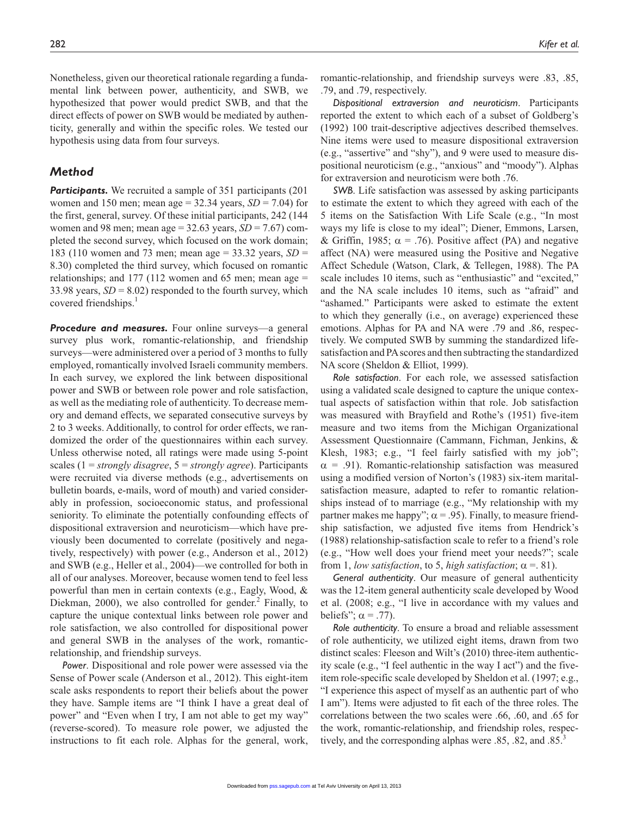Nonetheless, given our theoretical rationale regarding a fundamental link between power, authenticity, and SWB, we hypothesized that power would predict SWB, and that the direct effects of power on SWB would be mediated by authenticity, generally and within the specific roles. We tested our hypothesis using data from four surveys.

### *Method*

**Participants.** We recruited a sample of 351 participants (201) women and 150 men; mean age = 32.34 years, *SD* = 7.04) for the first, general, survey. Of these initial participants, 242 (144 women and 98 men; mean age = 32.63 years, *SD* = 7.67) completed the second survey, which focused on the work domain; 183 (110 women and 73 men; mean age = 33.32 years, *SD* = 8.30) completed the third survey, which focused on romantic relationships; and  $177$  (112 women and 65 men; mean age = 33.98 years,  $SD = 8.02$ ) responded to the fourth survey, which covered friendships.

**Procedure and measures.** Four online surveys—a general survey plus work, romantic-relationship, and friendship surveys—were administered over a period of 3 months to fully employed, romantically involved Israeli community members. In each survey, we explored the link between dispositional power and SWB or between role power and role satisfaction, as well as the mediating role of authenticity. To decrease memory and demand effects, we separated consecutive surveys by 2 to 3 weeks. Additionally, to control for order effects, we randomized the order of the questionnaires within each survey. Unless otherwise noted, all ratings were made using 5-point scales (1 = *strongly disagree*, 5 = *strongly agree*). Participants were recruited via diverse methods (e.g., advertisements on bulletin boards, e-mails, word of mouth) and varied considerably in profession, socioeconomic status, and professional seniority. To eliminate the potentially confounding effects of dispositional extraversion and neuroticism—which have previously been documented to correlate (positively and negatively, respectively) with power (e.g., Anderson et al., 2012) and SWB (e.g., Heller et al., 2004)—we controlled for both in all of our analyses. Moreover, because women tend to feel less powerful than men in certain contexts (e.g., Eagly, Wood, & Diekman, 2000), we also controlled for gender.<sup>2</sup> Finally, to capture the unique contextual links between role power and role satisfaction, we also controlled for dispositional power and general SWB in the analyses of the work, romanticrelationship, and friendship surveys.

*Power*. Dispositional and role power were assessed via the Sense of Power scale (Anderson et al., 2012). This eight-item scale asks respondents to report their beliefs about the power they have. Sample items are "I think I have a great deal of power" and "Even when I try, I am not able to get my way" (reverse-scored). To measure role power, we adjusted the instructions to fit each role. Alphas for the general, work,

romantic-relationship, and friendship surveys were .83, .85, .79, and .79, respectively.

*Dispositional extraversion and neuroticism*. Participants reported the extent to which each of a subset of Goldberg's (1992) 100 trait-descriptive adjectives described themselves. Nine items were used to measure dispositional extraversion (e.g., "assertive" and "shy"), and 9 were used to measure dispositional neuroticism (e.g., "anxious" and "moody"). Alphas for extraversion and neuroticism were both .76.

*SWB*. Life satisfaction was assessed by asking participants to estimate the extent to which they agreed with each of the 5 items on the Satisfaction With Life Scale (e.g., "In most ways my life is close to my ideal"; Diener, Emmons, Larsen, & Griffin, 1985;  $\alpha = .76$ ). Positive affect (PA) and negative affect (NA) were measured using the Positive and Negative Affect Schedule (Watson, Clark, & Tellegen, 1988). The PA scale includes 10 items, such as "enthusiastic" and "excited," and the NA scale includes 10 items, such as "afraid" and "ashamed." Participants were asked to estimate the extent to which they generally (i.e., on average) experienced these emotions. Alphas for PA and NA were .79 and .86, respectively. We computed SWB by summing the standardized lifesatisfaction and PA scores and then subtracting the standardized NA score (Sheldon & Elliot, 1999).

*Role satisfaction*. For each role, we assessed satisfaction using a validated scale designed to capture the unique contextual aspects of satisfaction within that role. Job satisfaction was measured with Brayfield and Rothe's (1951) five-item measure and two items from the Michigan Organizational Assessment Questionnaire (Cammann, Fichman, Jenkins, & Klesh, 1983; e.g., "I feel fairly satisfied with my job";  $\alpha$  = .91). Romantic-relationship satisfaction was measured using a modified version of Norton's (1983) six-item maritalsatisfaction measure, adapted to refer to romantic relationships instead of to marriage (e.g., "My relationship with my partner makes me happy";  $\alpha$  = .95). Finally, to measure friendship satisfaction, we adjusted five items from Hendrick's (1988) relationship-satisfaction scale to refer to a friend's role (e.g., "How well does your friend meet your needs?"; scale from 1, *low satisfaction*, to 5, *high satisfaction*;  $\alpha = 81$ ).

*General authenticity*. Our measure of general authenticity was the 12-item general authenticity scale developed by Wood et al. (2008; e.g., "I live in accordance with my values and beliefs";  $\alpha$  = .77).

*Role authenticity*. To ensure a broad and reliable assessment of role authenticity, we utilized eight items, drawn from two distinct scales: Fleeson and Wilt's (2010) three-item authenticity scale (e.g., "I feel authentic in the way I act") and the fiveitem role-specific scale developed by Sheldon et al. (1997; e.g., "I experience this aspect of myself as an authentic part of who I am"). Items were adjusted to fit each of the three roles. The correlations between the two scales were .66, .60, and .65 for the work, romantic-relationship, and friendship roles, respectively, and the corresponding alphas were .85, .82, and .85.<sup>3</sup>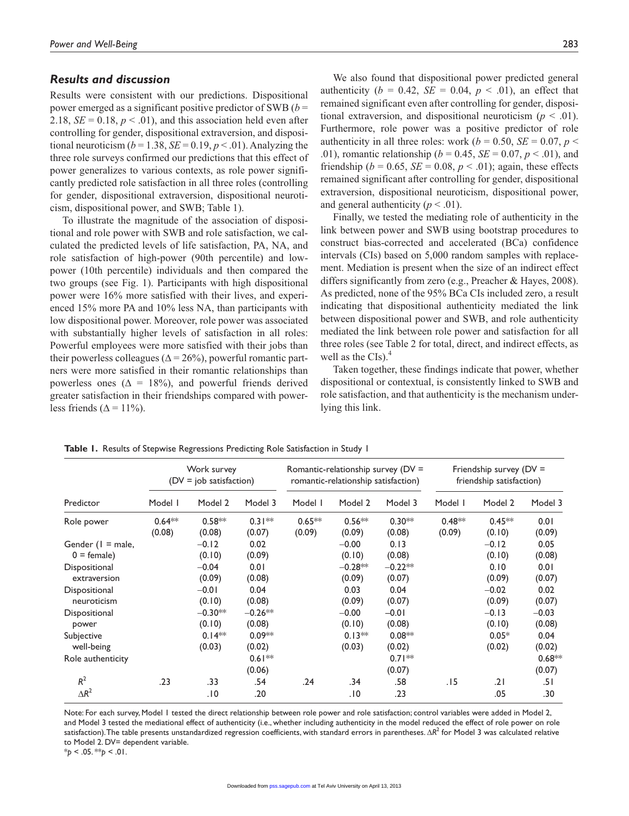## *Results and discussion*

Results were consistent with our predictions. Dispositional power emerged as a significant positive predictor of SWB (*b* = 2.18,  $SE = 0.18$ ,  $p < .01$ ), and this association held even after controlling for gender, dispositional extraversion, and dispositional neuroticism ( $b = 1.38$ ,  $SE = 0.19$ ,  $p < .01$ ). Analyzing the three role surveys confirmed our predictions that this effect of power generalizes to various contexts, as role power significantly predicted role satisfaction in all three roles (controlling for gender, dispositional extraversion, dispositional neuroticism, dispositional power, and SWB; Table 1).

To illustrate the magnitude of the association of dispositional and role power with SWB and role satisfaction, we calculated the predicted levels of life satisfaction, PA, NA, and role satisfaction of high-power (90th percentile) and lowpower (10th percentile) individuals and then compared the two groups (see Fig. 1). Participants with high dispositional power were 16% more satisfied with their lives, and experienced 15% more PA and 10% less NA, than participants with low dispositional power. Moreover, role power was associated with substantially higher levels of satisfaction in all roles: Powerful employees were more satisfied with their jobs than their powerless colleagues ( $\Delta = 26\%$ ), powerful romantic partners were more satisfied in their romantic relationships than powerless ones ( $\Delta = 18\%$ ), and powerful friends derived greater satisfaction in their friendships compared with powerless friends ( $\Delta = 11\%$ ).

We also found that dispositional power predicted general authenticity ( $b = 0.42$ ,  $SE = 0.04$ ,  $p < .01$ ), an effect that remained significant even after controlling for gender, dispositional extraversion, and dispositional neuroticism ( $p < .01$ ). Furthermore, role power was a positive predictor of role authenticity in all three roles: work ( $b = 0.50$ ,  $SE = 0.07$ ,  $p <$ .01), romantic relationship ( $b = 0.45$ ,  $SE = 0.07$ ,  $p < .01$ ), and friendship ( $b = 0.65$ ,  $SE = 0.08$ ,  $p < .01$ ); again, these effects remained significant after controlling for gender, dispositional extraversion, dispositional neuroticism, dispositional power, and general authenticity  $(p < .01)$ .

Finally, we tested the mediating role of authenticity in the link between power and SWB using bootstrap procedures to construct bias-corrected and accelerated (BCa) confidence intervals (CIs) based on 5,000 random samples with replacement. Mediation is present when the size of an indirect effect differs significantly from zero (e.g., Preacher & Hayes, 2008). As predicted, none of the 95% BCa CIs included zero, a result indicating that dispositional authenticity mediated the link between dispositional power and SWB, and role authenticity mediated the link between role power and satisfaction for all three roles (see Table 2 for total, direct, and indirect effects, as well as the  $CIs)$ .<sup>4</sup>

Taken together, these findings indicate that power, whether dispositional or contextual, is consistently linked to SWB and role satisfaction, and that authenticity is the mechanism underlying this link.

|                                      |                    | Work survey<br>$(DV = job satisfaction)$ |                     |                    | romantic-relationship satisfaction) | Romantic-relationship survey (DV = |                    | Friendship survey (DV =<br>friendship satisfaction) |                    |
|--------------------------------------|--------------------|------------------------------------------|---------------------|--------------------|-------------------------------------|------------------------------------|--------------------|-----------------------------------------------------|--------------------|
| Predictor                            | Model I            | Model 2                                  | Model 3             | Model I            | Model 2                             | Model 3                            | Model I            | Model 2                                             | Model 3            |
| Role power                           | $0.64**$<br>(0.08) | $0.58**$<br>(0.08)                       | $0.31**$<br>(0.07)  | $0.65**$<br>(0.09) | $0.56**$<br>(0.09)                  | $0.30**$<br>(0.08)                 | $0.48**$<br>(0.09) | $0.45**$<br>(0.10)                                  | 0.01<br>(0.09)     |
| Gender $(I = male,$<br>$0 =$ female) |                    | $-0.12$<br>(0.10)                        | 0.02<br>(0.09)      |                    | $-0.00$<br>(0.10)                   | 0.13<br>(0.08)                     |                    | $-0.12$<br>(0.10)                                   | 0.05<br>(0.08)     |
| Dispositional<br>extraversion        |                    | $-0.04$<br>(0.09)                        | 0.01<br>(0.08)      |                    | $-0.28**$<br>(0.09)                 | $-0.22**$<br>(0.07)                |                    | 0.10<br>(0.09)                                      | 0.01<br>(0.07)     |
| Dispositional<br>neuroticism         |                    | $-0.01$<br>(0.10)                        | 0.04<br>(0.08)      |                    | 0.03<br>(0.09)                      | 0.04<br>(0.07)                     |                    | $-0.02$<br>(0.09)                                   | 0.02<br>(0.07)     |
| Dispositional<br>power               |                    | $-0.30**$<br>(0.10)                      | $-0.26**$<br>(0.08) |                    | $-0.00$<br>(0.10)                   | $-0.01$<br>(0.08)                  |                    | $-0.13$<br>(0.10)                                   | $-0.03$<br>(0.08)  |
| Subjective<br>well-being             |                    | $0.14***$<br>(0.03)                      | $0.09**$<br>(0.02)  |                    | $0.13***$<br>(0.03)                 | $0.08**$<br>(0.02)                 |                    | $0.05*$<br>(0.02)                                   | 0.04<br>(0.02)     |
| Role authenticity                    |                    |                                          | $0.61**$<br>(0.06)  |                    |                                     | $0.71***$<br>(0.07)                |                    |                                                     | $0.68**$<br>(0.07) |
| $R^2$<br>$\Delta R^2$                | .23                | .33<br>.10                               | .54<br>.20          | .24                | .34<br>0١.                          | .58<br>.23                         | .15                | .21<br>.05                                          | .51<br>.30         |

**Table 1.** Results of Stepwise Regressions Predicting Role Satisfaction in Study 1

Note: For each survey, Model 1 tested the direct relationship between role power and role satisfaction; control variables were added in Model 2, and Model 3 tested the mediational effect of authenticity (i.e., whether including authenticity in the model reduced the effect of role power on role satisfaction). The table presents unstandardized regression coefficients, with standard errors in parentheses. Δ*R*<sup>2</sup> for Model 3 was calculated relative to Model 2. DV= dependent variable.

<sup>\*</sup>*p* < .05. \*\**p* < .01.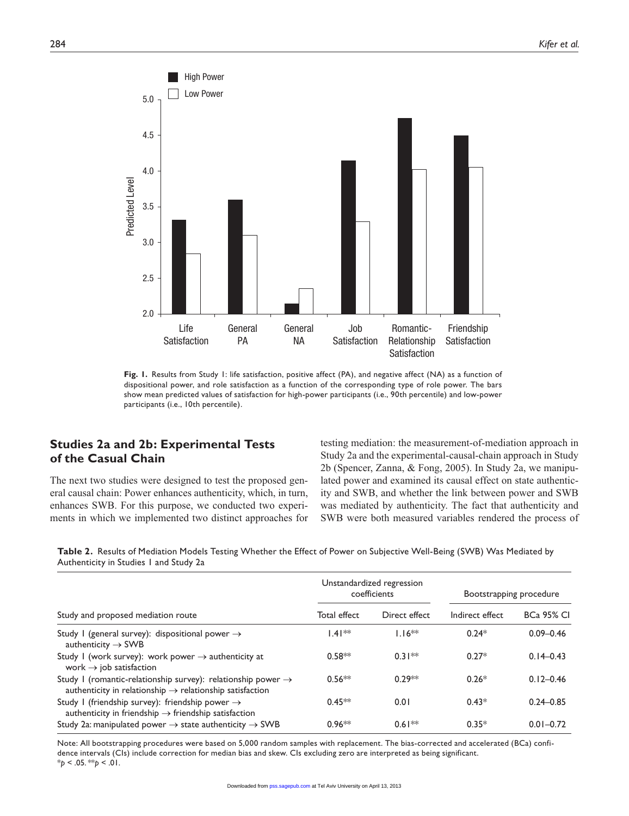

**Fig. 1.** Results from Study 1: life satisfaction, positive affect (PA), and negative affect (NA) as a function of dispositional power, and role satisfaction as a function of the corresponding type of role power. The bars show mean predicted values of satisfaction for high-power participants (i.e., 90th percentile) and low-power participants (i.e., 10th percentile).

# **Studies 2a and 2b: Experimental Tests of the Casual Chain**

The next two studies were designed to test the proposed general causal chain: Power enhances authenticity, which, in turn, enhances SWB. For this purpose, we conducted two experiments in which we implemented two distinct approaches for testing mediation: the measurement-of-mediation approach in Study 2a and the experimental-causal-chain approach in Study 2b (Spencer, Zanna, & Fong, 2005). In Study 2a, we manipulated power and examined its causal effect on state authenticity and SWB, and whether the link between power and SWB was mediated by authenticity. The fact that authenticity and SWB were both measured variables rendered the process of

**Table 2.** Results of Mediation Models Testing Whether the Effect of Power on Subjective Well-Being (SWB) Was Mediated by Authenticity in Studies 1 and Study 2a

|                                                                                                                                                  |              | Unstandardized regression<br>coefficients | Bootstrapping procedure |                   |
|--------------------------------------------------------------------------------------------------------------------------------------------------|--------------|-------------------------------------------|-------------------------|-------------------|
| Study and proposed mediation route                                                                                                               | Total effect | Direct effect                             | Indirect effect         | <b>BCa 95% CI</b> |
| Study 1 (general survey): dispositional power $\rightarrow$<br>authenticity $\rightarrow$ SWB                                                    | $1.41**$     | $1.16**$                                  | $0.24*$                 | $0.09 - 0.46$     |
| Study I (work survey): work power $\rightarrow$ authenticity at<br>work $\rightarrow$ job satisfaction                                           | $0.58**$     | $0.31***$                                 | $0.27*$                 | $0.14 - 0.43$     |
| Study 1 (romantic-relationship survey): relationship power $\rightarrow$<br>authenticity in relationship $\rightarrow$ relationship satisfaction | $0.56**$     | $0.29**$                                  | $0.26*$                 | $0.12 - 0.46$     |
| Study I (friendship survey): friendship power $\rightarrow$<br>authenticity in friendship $\rightarrow$ friendship satisfaction                  | $0.45**$     | 0.01                                      | $0.43*$                 | $0.24 - 0.85$     |
| Study 2a: manipulated power $\rightarrow$ state authenticity $\rightarrow$ SWB                                                                   | $0.96**$     | $0.61**$                                  | $0.35*$                 | $0.01 - 0.72$     |

Note: All bootstrapping procedures were based on 5,000 random samples with replacement. The bias-corrected and accelerated (BCa) confidence intervals (CIs) include correction for median bias and skew. CIs excluding zero are interpreted as being significant. \**p* < .05. \*\**p* < .01.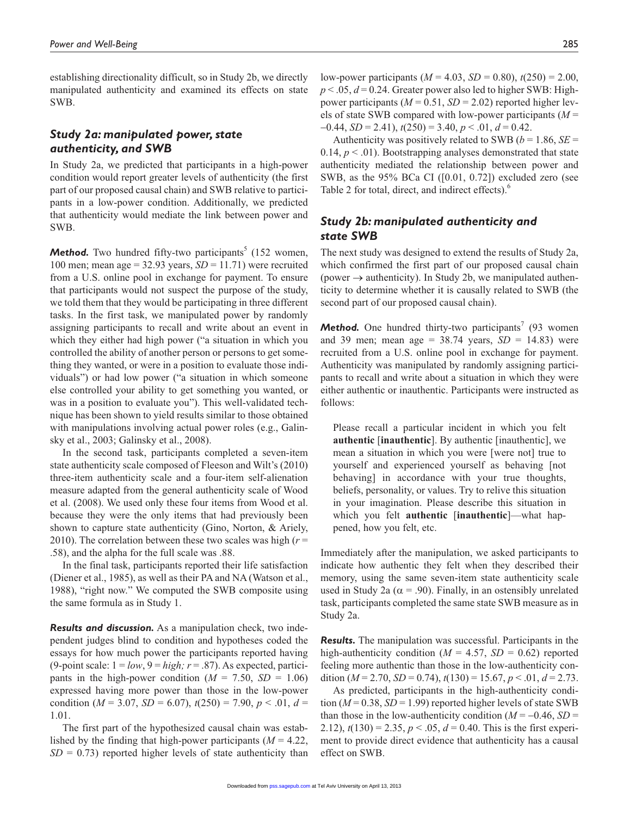establishing directionality difficult, so in Study 2b, we directly manipulated authenticity and examined its effects on state SWB.

## *Study 2a: manipulated power, state authenticity, and SWB*

In Study 2a, we predicted that participants in a high-power condition would report greater levels of authenticity (the first part of our proposed causal chain) and SWB relative to participants in a low-power condition. Additionally, we predicted that authenticity would mediate the link between power and SWB.

**Method.** Two hundred fifty-two participants<sup>5</sup> (152 women, 100 men; mean age = 32.93 years, *SD* = 11.71) were recruited from a U.S. online pool in exchange for payment. To ensure that participants would not suspect the purpose of the study, we told them that they would be participating in three different tasks. In the first task, we manipulated power by randomly assigning participants to recall and write about an event in which they either had high power ("a situation in which you controlled the ability of another person or persons to get something they wanted, or were in a position to evaluate those individuals") or had low power ("a situation in which someone else controlled your ability to get something you wanted, or was in a position to evaluate you"). This well-validated technique has been shown to yield results similar to those obtained with manipulations involving actual power roles (e.g., Galinsky et al., 2003; Galinsky et al., 2008).

In the second task, participants completed a seven-item state authenticity scale composed of Fleeson and Wilt's (2010) three-item authenticity scale and a four-item self-alienation measure adapted from the general authenticity scale of Wood et al. (2008). We used only these four items from Wood et al. because they were the only items that had previously been shown to capture state authenticity (Gino, Norton, & Ariely, 2010). The correlation between these two scales was high (*r* = .58), and the alpha for the full scale was .88.

In the final task, participants reported their life satisfaction (Diener et al., 1985), as well as their PA and NA (Watson et al., 1988), "right now." We computed the SWB composite using the same formula as in Study 1.

*Results and discussion.* As a manipulation check, two independent judges blind to condition and hypotheses coded the essays for how much power the participants reported having (9-point scale:  $1 = low$ ,  $9 = high$ ;  $r = .87$ ). As expected, participants in the high-power condition ( $M = 7.50$ ,  $SD = 1.06$ ) expressed having more power than those in the low-power condition ( $M = 3.07$ ,  $SD = 6.07$ ),  $t(250) = 7.90$ ,  $p < .01$ ,  $d =$ 1.01.

The first part of the hypothesized causal chain was established by the finding that high-power participants  $(M = 4.22)$ ,  $SD = 0.73$ ) reported higher levels of state authenticity than

low-power participants (*M* = 4.03, *SD* = 0.80), *t*(250) = 2.00,  $p < .05$ ,  $d = 0.24$ . Greater power also led to higher SWB: Highpower participants ( $M = 0.51$ ,  $SD = 2.02$ ) reported higher levels of state SWB compared with low-power participants (*M* = −0.44, *SD* = 2.41), *t*(250) = 3.40, *p* < .01, *d* = 0.42.

Authenticity was positively related to SWB ( $b = 1.86$ , *SE* = 0.14,  $p < 0.01$ ). Bootstrapping analyses demonstrated that state authenticity mediated the relationship between power and SWB, as the 95% BCa CI ([0.01, 0.72]) excluded zero (see Table 2 for total, direct, and indirect effects).<sup>6</sup>

## *Study 2b: manipulated authenticity and state SWB*

The next study was designed to extend the results of Study 2a, which confirmed the first part of our proposed causal chain (power  $\rightarrow$  authenticity). In Study 2b, we manipulated authenticity to determine whether it is causally related to SWB (the second part of our proposed causal chain).

**Method.** One hundred thirty-two participants<sup>7</sup> (93 women) and 39 men; mean age =  $38.74$  years,  $SD = 14.83$ ) were recruited from a U.S. online pool in exchange for payment. Authenticity was manipulated by randomly assigning participants to recall and write about a situation in which they were either authentic or inauthentic. Participants were instructed as follows:

Please recall a particular incident in which you felt **authentic** [**inauthentic**]. By authentic [inauthentic], we mean a situation in which you were [were not] true to yourself and experienced yourself as behaving [not behaving] in accordance with your true thoughts, beliefs, personality, or values. Try to relive this situation in your imagination. Please describe this situation in which you felt **authentic** [**inauthentic**]—what happened, how you felt, etc.

Immediately after the manipulation, we asked participants to indicate how authentic they felt when they described their memory, using the same seven-item state authenticity scale used in Study 2a ( $\alpha$  = .90). Finally, in an ostensibly unrelated task, participants completed the same state SWB measure as in Study 2a.

*Results.* The manipulation was successful. Participants in the high-authenticity condition ( $M = 4.57$ ,  $SD = 0.62$ ) reported feeling more authentic than those in the low-authenticity condition ( $M = 2.70$ ,  $SD = 0.74$ ),  $t(130) = 15.67$ ,  $p < .01$ ,  $d = 2.73$ .

As predicted, participants in the high-authenticity condition ( $M = 0.38$ ,  $SD = 1.99$ ) reported higher levels of state SWB than those in the low-authenticity condition  $(M = -0.46, SD =$ 2.12),  $t(130) = 2.35$ ,  $p < .05$ ,  $d = 0.40$ . This is the first experiment to provide direct evidence that authenticity has a causal effect on SWB.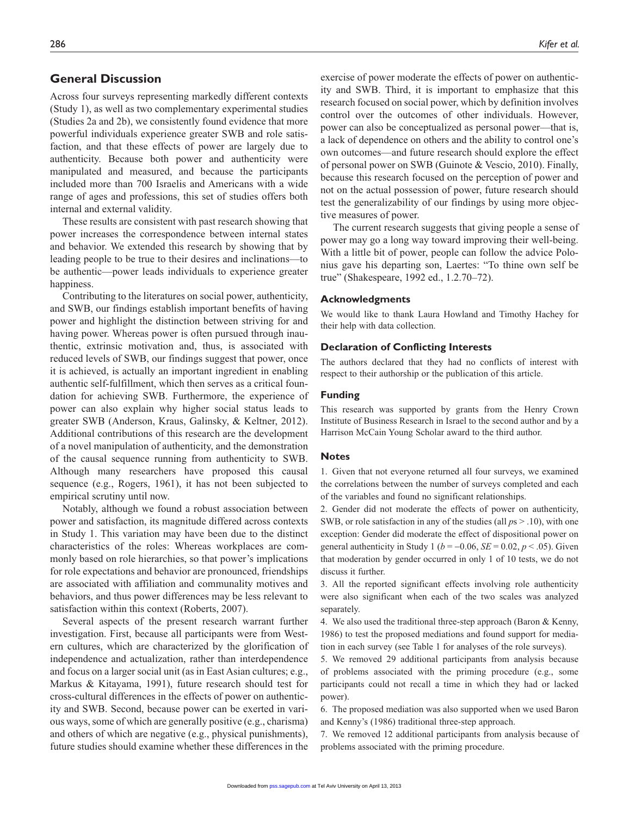Across four surveys representing markedly different contexts (Study 1), as well as two complementary experimental studies (Studies 2a and 2b), we consistently found evidence that more powerful individuals experience greater SWB and role satisfaction, and that these effects of power are largely due to authenticity. Because both power and authenticity were manipulated and measured, and because the participants included more than 700 Israelis and Americans with a wide range of ages and professions, this set of studies offers both internal and external validity.

These results are consistent with past research showing that power increases the correspondence between internal states and behavior. We extended this research by showing that by leading people to be true to their desires and inclinations—to be authentic—power leads individuals to experience greater happiness.

Contributing to the literatures on social power, authenticity, and SWB, our findings establish important benefits of having power and highlight the distinction between striving for and having power. Whereas power is often pursued through inauthentic, extrinsic motivation and, thus, is associated with reduced levels of SWB, our findings suggest that power, once it is achieved, is actually an important ingredient in enabling authentic self-fulfillment, which then serves as a critical foundation for achieving SWB. Furthermore, the experience of power can also explain why higher social status leads to greater SWB (Anderson, Kraus, Galinsky, & Keltner, 2012). Additional contributions of this research are the development of a novel manipulation of authenticity, and the demonstration of the causal sequence running from authenticity to SWB. Although many researchers have proposed this causal sequence (e.g., Rogers, 1961), it has not been subjected to empirical scrutiny until now.

Notably, although we found a robust association between power and satisfaction, its magnitude differed across contexts in Study 1. This variation may have been due to the distinct characteristics of the roles: Whereas workplaces are commonly based on role hierarchies, so that power's implications for role expectations and behavior are pronounced, friendships are associated with affiliation and communality motives and behaviors, and thus power differences may be less relevant to satisfaction within this context (Roberts, 2007).

Several aspects of the present research warrant further investigation. First, because all participants were from Western cultures, which are characterized by the glorification of independence and actualization, rather than interdependence and focus on a larger social unit (as in East Asian cultures; e.g., Markus & Kitayama, 1991), future research should test for cross-cultural differences in the effects of power on authenticity and SWB. Second, because power can be exerted in various ways, some of which are generally positive (e.g., charisma) and others of which are negative (e.g., physical punishments), future studies should examine whether these differences in the

exercise of power moderate the effects of power on authenticity and SWB. Third, it is important to emphasize that this research focused on social power, which by definition involves control over the outcomes of other individuals. However, power can also be conceptualized as personal power—that is, a lack of dependence on others and the ability to control one's own outcomes—and future research should explore the effect of personal power on SWB (Guinote & Vescio, 2010). Finally, because this research focused on the perception of power and not on the actual possession of power, future research should test the generalizability of our findings by using more objective measures of power.

The current research suggests that giving people a sense of power may go a long way toward improving their well-being. With a little bit of power, people can follow the advice Polonius gave his departing son, Laertes: "To thine own self be true" (Shakespeare, 1992 ed., 1.2.70–72).

#### **Acknowledgments**

We would like to thank Laura Howland and Timothy Hachey for their help with data collection.

#### **Declaration of Conflicting Interests**

The authors declared that they had no conflicts of interest with respect to their authorship or the publication of this article.

#### **Funding**

This research was supported by grants from the Henry Crown Institute of Business Research in Israel to the second author and by a Harrison McCain Young Scholar award to the third author.

#### **Notes**

1. Given that not everyone returned all four surveys, we examined the correlations between the number of surveys completed and each of the variables and found no significant relationships.

2. Gender did not moderate the effects of power on authenticity, SWB, or role satisfaction in any of the studies (all *p*s > .10), with one exception: Gender did moderate the effect of dispositional power on general authenticity in Study 1 ( $b = -0.06$ ,  $SE = 0.02$ ,  $p < .05$ ). Given that moderation by gender occurred in only 1 of 10 tests, we do not discuss it further.

3. All the reported significant effects involving role authenticity were also significant when each of the two scales was analyzed separately.

4. We also used the traditional three-step approach (Baron & Kenny, 1986) to test the proposed mediations and found support for mediation in each survey (see Table 1 for analyses of the role surveys).

5. We removed 29 additional participants from analysis because of problems associated with the priming procedure (e.g., some participants could not recall a time in which they had or lacked power).

6. The proposed mediation was also supported when we used Baron and Kenny's (1986) traditional three-step approach.

7. We removed 12 additional participants from analysis because of problems associated with the priming procedure.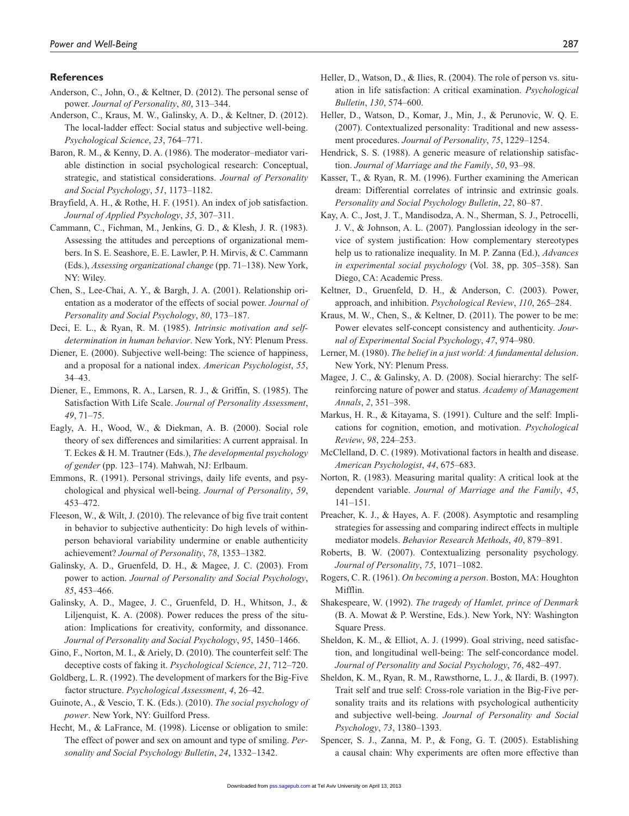#### **References**

- Anderson, C., John, O., & Keltner, D. (2012). The personal sense of power. *Journal of Personality*, *80*, 313–344.
- Anderson, C., Kraus, M. W., Galinsky, A. D., & Keltner, D. (2012). The local-ladder effect: Social status and subjective well-being. *Psychological Science*, *23*, 764–771.
- Baron, R. M., & Kenny, D. A. (1986). The moderator–mediator variable distinction in social psychological research: Conceptual, strategic, and statistical considerations. *Journal of Personality and Social Psychology*, *51*, 1173–1182.
- Brayfield, A. H., & Rothe, H. F. (1951). An index of job satisfaction. *Journal of Applied Psychology*, *35*, 307–311.
- Cammann, C., Fichman, M., Jenkins, G. D., & Klesh, J. R. (1983). Assessing the attitudes and perceptions of organizational members. In S. E. Seashore, E. E. Lawler, P. H. Mirvis, & C. Cammann (Eds.), *Assessing organizational change* (pp. 71–138). New York, NY: Wiley.
- Chen, S., Lee-Chai, A. Y., & Bargh, J. A. (2001). Relationship orientation as a moderator of the effects of social power. *Journal of Personality and Social Psychology*, *80*, 173–187.
- Deci, E. L., & Ryan, R. M. (1985). *Intrinsic motivation and selfdetermination in human behavior*. New York, NY: Plenum Press.
- Diener, E. (2000). Subjective well-being: The science of happiness, and a proposal for a national index. *American Psychologist*, *55*, 34–43.
- Diener, E., Emmons, R. A., Larsen, R. J., & Griffin, S. (1985). The Satisfaction With Life Scale. *Journal of Personality Assessment*, *49*, 71–75.
- Eagly, A. H., Wood, W., & Diekman, A. B. (2000). Social role theory of sex differences and similarities: A current appraisal. In T. Eckes & H. M. Trautner (Eds.), *The developmental psychology of gender* (pp. 123–174). Mahwah, NJ: Erlbaum.
- Emmons, R. (1991). Personal strivings, daily life events, and psychological and physical well-being. *Journal of Personality*, *59*, 453–472.
- Fleeson, W., & Wilt, J. (2010). The relevance of big five trait content in behavior to subjective authenticity: Do high levels of withinperson behavioral variability undermine or enable authenticity achievement? *Journal of Personality*, *78*, 1353–1382.
- Galinsky, A. D., Gruenfeld, D. H., & Magee, J. C. (2003). From power to action. *Journal of Personality and Social Psychology*, *85*, 453–466.
- Galinsky, A. D., Magee, J. C., Gruenfeld, D. H., Whitson, J., & Liljenquist, K. A. (2008). Power reduces the press of the situation: Implications for creativity, conformity, and dissonance. *Journal of Personality and Social Psychology*, *95*, 1450–1466.
- Gino, F., Norton, M. I., & Ariely, D. (2010). The counterfeit self: The deceptive costs of faking it. *Psychological Science*, *21*, 712–720.
- Goldberg, L. R. (1992). The development of markers for the Big-Five factor structure. *Psychological Assessment*, *4*, 26–42.
- Guinote, A., & Vescio, T. K. (Eds.). (2010). *The social psychology of power*. New York, NY: Guilford Press.
- Hecht, M., & LaFrance, M. (1998). License or obligation to smile: The effect of power and sex on amount and type of smiling. *Personality and Social Psychology Bulletin*, *24*, 1332–1342.
- Heller, D., Watson, D., & Ilies, R. (2004). The role of person vs. situation in life satisfaction: A critical examination. *Psychological Bulletin*, *130*, 574–600.
- Heller, D., Watson, D., Komar, J., Min, J., & Perunovic, W. Q. E. (2007). Contextualized personality: Traditional and new assessment procedures. *Journal of Personality*, *75*, 1229–1254.
- Hendrick, S. S. (1988). A generic measure of relationship satisfaction. *Journal of Marriage and the Family*, *50*, 93–98.
- Kasser, T., & Ryan, R. M. (1996). Further examining the American dream: Differential correlates of intrinsic and extrinsic goals. *Personality and Social Psychology Bulletin*, *22*, 80–87.
- Kay, A. C., Jost, J. T., Mandisodza, A. N., Sherman, S. J., Petrocelli, J. V., & Johnson, A. L. (2007). Panglossian ideology in the service of system justification: How complementary stereotypes help us to rationalize inequality. In M. P. Zanna (Ed.), *Advances in experimental social psychology* (Vol. 38, pp. 305–358). San Diego, CA: Academic Press.
- Keltner, D., Gruenfeld, D. H., & Anderson, C. (2003). Power, approach, and inhibition. *Psychological Review*, *110*, 265–284.
- Kraus, M. W., Chen, S., & Keltner, D. (2011). The power to be me: Power elevates self-concept consistency and authenticity. *Journal of Experimental Social Psychology*, *47*, 974–980.
- Lerner, M. (1980). *The belief in a just world: A fundamental delusion*. New York, NY: Plenum Press.
- Magee, J. C., & Galinsky, A. D. (2008). Social hierarchy: The selfreinforcing nature of power and status. *Academy of Management Annals*, *2*, 351–398.
- Markus, H. R., & Kitayama, S. (1991). Culture and the self: Implications for cognition, emotion, and motivation. *Psychological Review*, *98*, 224–253.
- McClelland, D. C. (1989). Motivational factors in health and disease. *American Psychologist*, *44*, 675–683.
- Norton, R. (1983). Measuring marital quality: A critical look at the dependent variable. *Journal of Marriage and the Family*, *45*, 141–151.
- Preacher, K. J., & Hayes, A. F. (2008). Asymptotic and resampling strategies for assessing and comparing indirect effects in multiple mediator models. *Behavior Research Methods*, *40*, 879–891.
- Roberts, B. W. (2007). Contextualizing personality psychology. *Journal of Personality*, *75*, 1071–1082.
- Rogers, C. R. (1961). *On becoming a person*. Boston, MA: Houghton Mifflin.
- Shakespeare, W. (1992). *The tragedy of Hamlet, prince of Denmark* (B. A. Mowat & P. Werstine, Eds.). New York, NY: Washington Square Press.
- Sheldon, K. M., & Elliot, A. J. (1999). Goal striving, need satisfaction, and longitudinal well-being: The self-concordance model. *Journal of Personality and Social Psychology*, *76*, 482–497.
- Sheldon, K. M., Ryan, R. M., Rawsthorne, L. J., & Ilardi, B. (1997). Trait self and true self: Cross-role variation in the Big-Five personality traits and its relations with psychological authenticity and subjective well-being. *Journal of Personality and Social Psychology*, *73*, 1380–1393.
- Spencer, S. J., Zanna, M. P., & Fong, G. T. (2005). Establishing a causal chain: Why experiments are often more effective than